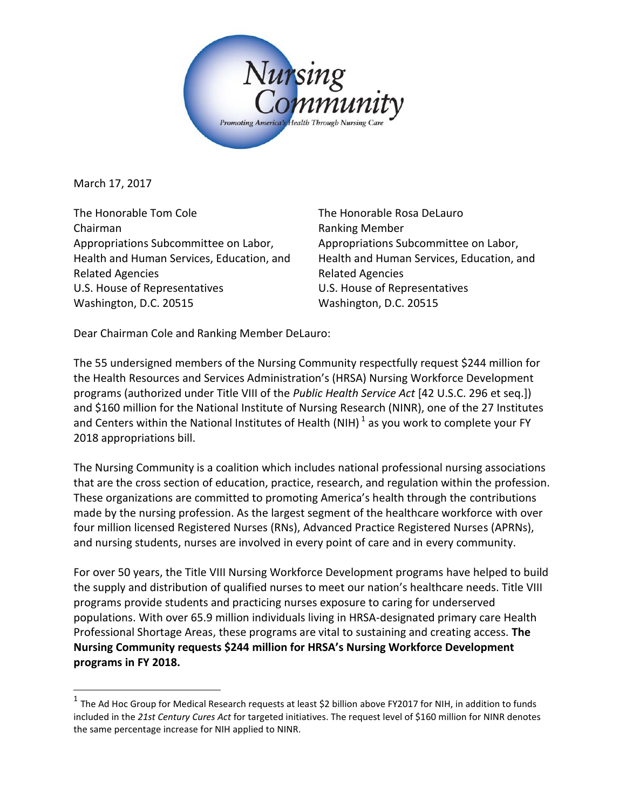

March 17, 2017

l

The Honorable Tom Cole Chairman Appropriations Subcommittee on Labor, Health and Human Services, Education, and Related Agencies U.S. House of Representatives Washington, D.C. 20515

The Honorable Rosa DeLauro Ranking Member Appropriations Subcommittee on Labor, Health and Human Services, Education, and Related Agencies U.S. House of Representatives Washington, D.C. 20515

Dear Chairman Cole and Ranking Member DeLauro:

The 55 undersigned members of the Nursing Community respectfully request \$244 million for the Health Resources and Services Administration's (HRSA) Nursing Workforce Development programs (authorized under Title VIII of the *Public Health Service Act* [42 U.S.C. 296 et seq.]) and \$160 million for the National Institute of Nursing Research (NINR), one of the 27 Institutes and Centers within the National Institutes of Health (NIH)  $^1$  as you work to complete your FY 2018 appropriations bill.

The Nursing Community is a coalition which includes national professional nursing associations that are the cross section of education, practice, research, and regulation within the profession. These organizations are committed to promoting America's health through the contributions made by the nursing profession. As the largest segment of the healthcare workforce with over four million licensed Registered Nurses (RNs), Advanced Practice Registered Nurses (APRNs), and nursing students, nurses are involved in every point of care and in every community.

For over 50 years, the Title VIII Nursing Workforce Development programs have helped to build the supply and distribution of qualified nurses to meet our nation's healthcare needs. Title VIII programs provide students and practicing nurses exposure to caring for underserved populations. With over 65.9 million individuals living in HRSA-designated primary care Health Professional Shortage Areas, these programs are vital to sustaining and creating access. **The Nursing Community requests \$244 million for HRSA's Nursing Workforce Development programs in FY 2018.**

<sup>&</sup>lt;sup>1</sup> The Ad Hoc Group for Medical Research requests at least \$2 billion above FY2017 for NIH, in addition to funds included in the *21st Century Cures Act* for targeted initiatives. The request level of \$160 million for NINR denotes the same percentage increase for NIH applied to NINR.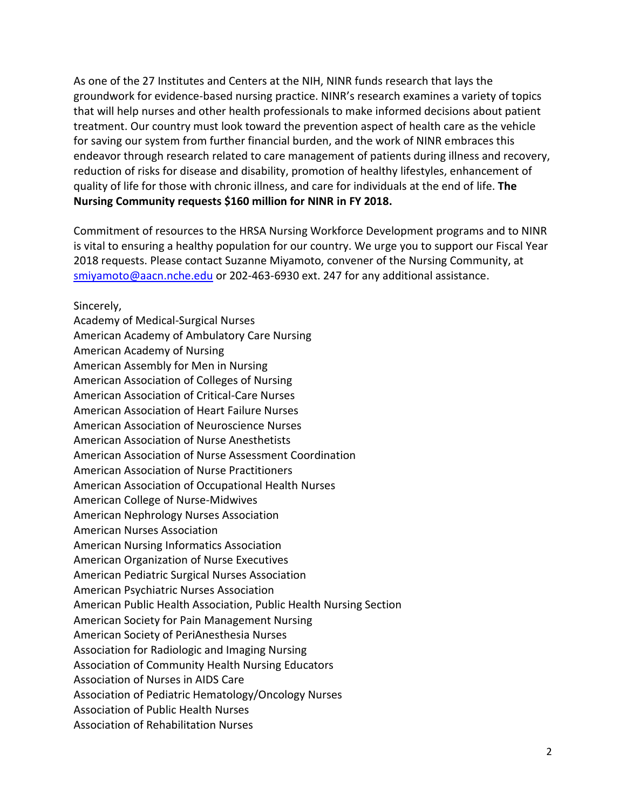As one of the 27 Institutes and Centers at the NIH, NINR funds research that lays the groundwork for evidence-based nursing practice. NINR's research examines a variety of topics that will help nurses and other health professionals to make informed decisions about patient treatment. Our country must look toward the prevention aspect of health care as the vehicle for saving our system from further financial burden, and the work of NINR embraces this endeavor through research related to care management of patients during illness and recovery, reduction of risks for disease and disability, promotion of healthy lifestyles, enhancement of quality of life for those with chronic illness, and care for individuals at the end of life. **The Nursing Community requests \$160 million for NINR in FY 2018.**

Commitment of resources to the HRSA Nursing Workforce Development programs and to NINR is vital to ensuring a healthy population for our country. We urge you to support our Fiscal Year 2018 requests. Please contact Suzanne Miyamoto, convener of the Nursing Community, at [smiyamoto@aacn.nche.edu](mailto:smiyamoto@aacn.nche.edu) or 202-463-6930 ext. 247 for any additional assistance.

Sincerely,

Academy of Medical-Surgical Nurses American Academy of Ambulatory Care Nursing American Academy of Nursing American Assembly for Men in Nursing American Association of Colleges of Nursing American Association of Critical-Care Nurses American Association of Heart Failure Nurses American Association of Neuroscience Nurses American Association of Nurse Anesthetists American Association of Nurse Assessment Coordination American Association of Nurse Practitioners American Association of Occupational Health Nurses American College of Nurse-Midwives American Nephrology Nurses Association American Nurses Association American Nursing Informatics Association American Organization of Nurse Executives American Pediatric Surgical Nurses Association American Psychiatric Nurses Association American Public Health Association, Public Health Nursing Section American Society for Pain Management Nursing American Society of PeriAnesthesia Nurses Association for Radiologic and Imaging Nursing Association of Community Health Nursing Educators Association of Nurses in AIDS Care Association of Pediatric Hematology/Oncology Nurses Association of Public Health Nurses Association of Rehabilitation Nurses